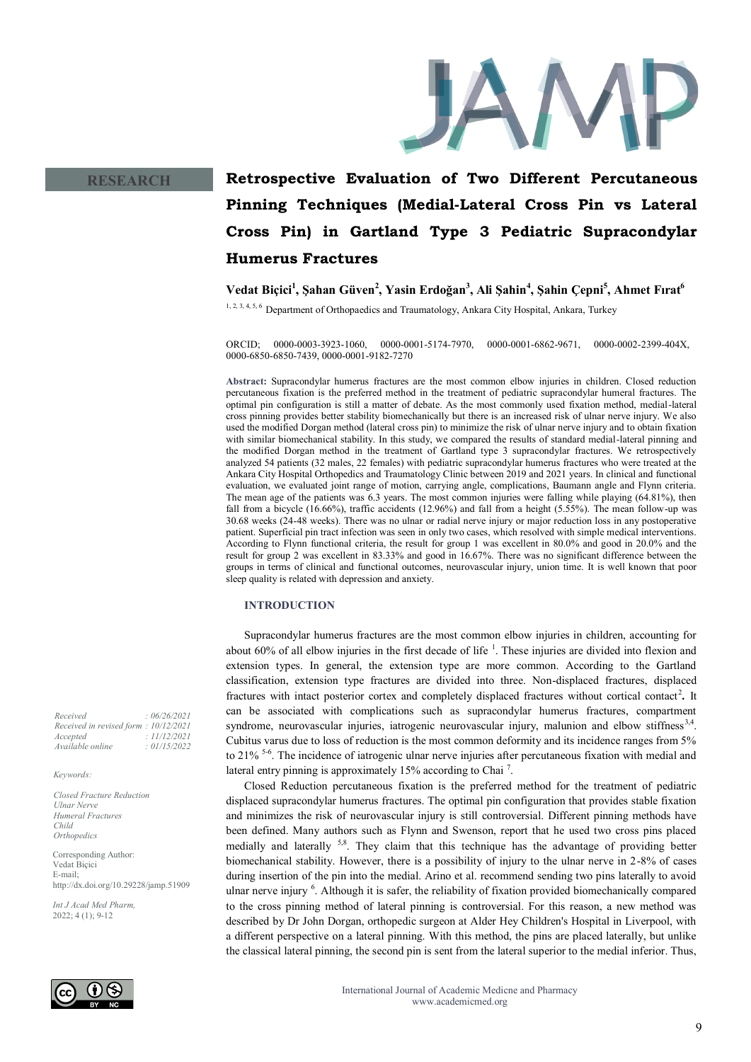

# **RESEARCH**

# **Retrospective Evaluation of Two Different Percutaneous Pinning Techniques (Medial-Lateral Cross Pin vs Lateral Cross Pin) in Gartland Type 3 Pediatric Supracondylar Humerus Fractures**

**Vedat Biçici<sup>1</sup> , Şahan Güven<sup>2</sup> , Yasin Erdoğan<sup>3</sup> , Ali Şahin<sup>4</sup> , Şahin Çepni<sup>5</sup> , Ahmet Fırat<sup>6</sup>**

1, 2, 3, 4, 5, 6 Department of Orthopaedics and Traumatology, Ankara City Hospital, Ankara, Turkey

ORCID; 0000-0003-3923-1060, 0000-0001-5174-7970, 0000-0001-6862-9671, 0000-0002-2399-404X, 0000-6850-6850-7439, 0000-0001-9182-7270

**Abstract:** Supracondylar humerus fractures are the most common elbow injuries in children. Closed reduction percutaneous fixation is the preferred method in the treatment of pediatric supracondylar humeral fractures. The optimal pin configuration is still a matter of debate. As the most commonly used fixation method, medial-lateral cross pinning provides better stability biomechanically but there is an increased risk of ulnar nerve injury. We also used the modified Dorgan method (lateral cross pin) to minimize the risk of ulnar nerve injury and to obtain fixation with similar biomechanical stability. In this study, we compared the results of standard medial-lateral pinning and the modified Dorgan method in the treatment of Gartland type 3 supracondylar fractures. We retrospectively analyzed 54 patients (32 males, 22 females) with pediatric supracondylar humerus fractures who were treated at the Ankara City Hospital Orthopedics and Traumatology Clinic between 2019 and 2021 years. In clinical and functional evaluation, we evaluated joint range of motion, carrying angle, complications, Baumann angle and Flynn criteria. The mean age of the patients was 6.3 years. The most common injuries were falling while playing (64.81%), then fall from a bicycle (16.66%), traffic accidents (12.96%) and fall from a height (5.55%). The mean follow-up was 30.68 weeks (24-48 weeks). There was no ulnar or radial nerve injury or major reduction loss in any postoperative patient. Superficial pin tract infection was seen in only two cases, which resolved with simple medical interventions. According to Flynn functional criteria, the result for group 1 was excellent in 80.0% and good in 20.0% and the result for group 2 was excellent in 83.33% and good in 16.67%. There was no significant difference between the groups in terms of clinical and functional outcomes, neurovascular injury, union time. It is well known that poor sleep quality is related with depression and anxiety.

# **INTRODUCTION**

Supracondylar humerus fractures are the most common elbow injuries in children, accounting for about 60% of all elbow injuries in the first decade of life  $<sup>1</sup>$ . These injuries are divided into flexion and</sup> extension types. In general, the extension type are more common. According to the Gartland classification, extension type fractures are divided into three. Non-displaced fractures, displaced fractures with intact posterior cortex and completely displaced fractures without cortical contact<sup>2</sup>. It can be associated with complications such as supracondylar humerus fractures, compartment syndrome, neurovascular injuries, iatrogenic neurovascular injury, malunion and elbow stiffness<sup>3,4</sup>. Cubitus varus due to loss of reduction is the most common deformity and its incidence ranges from 5% to 21%<sup>5-6</sup>. The incidence of iatrogenic ulnar nerve injuries after percutaneous fixation with medial and lateral entry pinning is approximately 15% according to Chai<sup>7</sup>.

Closed Reduction percutaneous fixation is the preferred method for the treatment of pediatric displaced supracondylar humerus fractures. The optimal pin configuration that provides stable fixation and minimizes the risk of neurovascular injury is still controversial. Different pinning methods have been defined. Many authors such as Flynn and Swenson, report that he used two cross pins placed medially and laterally  $5.8$ . They claim that this technique has the advantage of providing better biomechanical stability. However, there is a possibility of injury to the ulnar nerve in 2-8% of cases during insertion of the pin into the medial. Arino et al. recommend sending two pins laterally to avoid ulnar nerve injury <sup>6</sup>. Although it is safer, the reliability of fixation provided biomechanically compared to the cross pinning method of lateral pinning is controversial. For this reason, a new method was described by Dr John Dorgan, orthopedic surgeon at Alder Hey Children's Hospital in Liverpool, with a different perspective on a lateral pinning. With this method, the pins are placed laterally, but unlike the classical lateral pinning, the second pin is sent from the lateral superior to the medial inferior. Thus,

*Received : 06/26/2021 Received in revised form : 10/12/2021 Accepted : 11/12/2021 Available online : 01/15/2022*

*Keywords:*

*Closed Fracture Reduction Ulnar Nerve Humeral Fractures Child Orthopedics*

Corresponding Author: Vedat Biçici E-mail; http://dx.doi.org/10.29228/jamp.51909

*Int J Acad Med Pharm,* 2022; 4 (1); 9-12

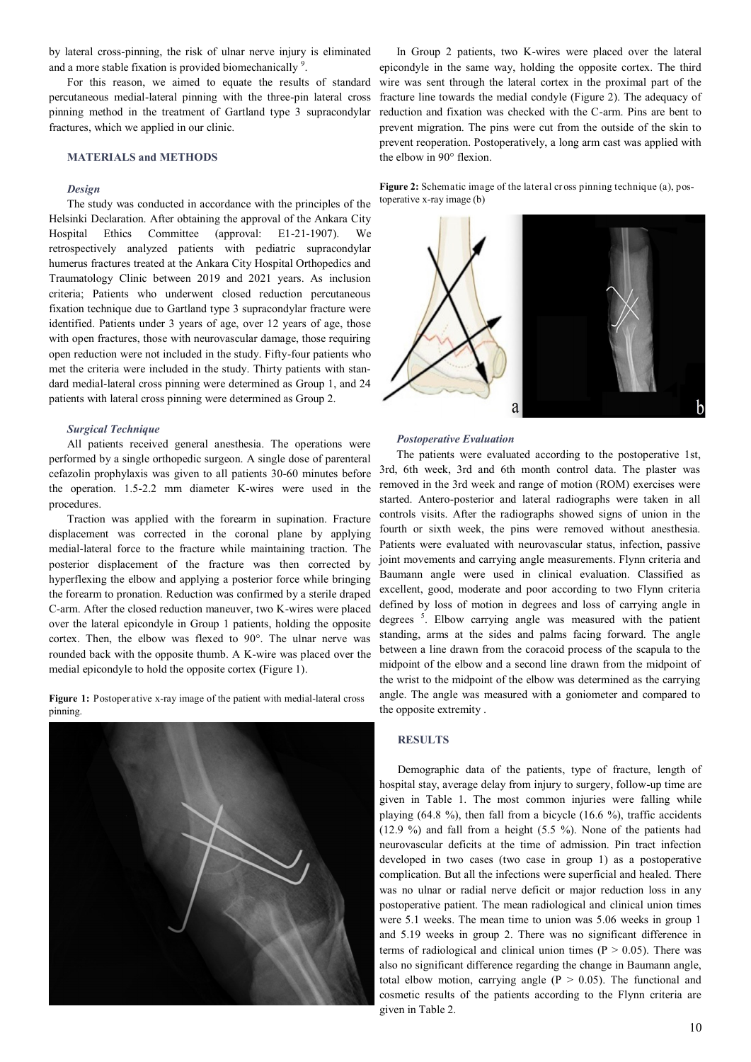by lateral cross-pinning, the risk of ulnar nerve injury is eliminated and a more stable fixation is provided biomechanically <sup>9</sup>.

For this reason, we aimed to equate the results of standard percutaneous medial-lateral pinning with the three-pin lateral cross pinning method in the treatment of Gartland type 3 supracondylar fractures, which we applied in our clinic.

# **MATERIALS and METHODS**

#### *Design*

The study was conducted in accordance with the principles of the Helsinki Declaration. After obtaining the approval of the Ankara City Hospital Ethics Committee (approval: E1-21-1907). We retrospectively analyzed patients with pediatric supracondylar humerus fractures treated at the Ankara City Hospital Orthopedics and Traumatology Clinic between 2019 and 2021 years. As inclusion criteria; Patients who underwent closed reduction percutaneous fixation technique due to Gartland type 3 supracondylar fracture were identified. Patients under 3 years of age, over 12 years of age, those with open fractures, those with neurovascular damage, those requiring open reduction were not included in the study. Fifty-four patients who met the criteria were included in the study. Thirty patients with standard medial-lateral cross pinning were determined as Group 1, and 24 patients with lateral cross pinning were determined as Group 2.

#### *Surgical Technique*

All patients received general anesthesia. The operations were performed by a single orthopedic surgeon. A single dose of parenteral cefazolin prophylaxis was given to all patients 30-60 minutes before the operation. 1.5-2.2 mm diameter K-wires were used in the procedures.

Traction was applied with the forearm in supination. Fracture displacement was corrected in the coronal plane by applying medial-lateral force to the fracture while maintaining traction. The posterior displacement of the fracture was then corrected by hyperflexing the elbow and applying a posterior force while bringing the forearm to pronation. Reduction was confirmed by a sterile draped C-arm. After the closed reduction maneuver, two K-wires were placed over the lateral epicondyle in Group 1 patients, holding the opposite cortex. Then, the elbow was flexed to 90°. The ulnar nerve was rounded back with the opposite thumb. A K-wire was placed over the medial epicondyle to hold the opposite cortex **(**Figure 1).

Figure 1: Postoperative x-ray image of the patient with medial-lateral cross pinning.



In Group 2 patients, two K-wires were placed over the lateral epicondyle in the same way, holding the opposite cortex. The third wire was sent through the lateral cortex in the proximal part of the fracture line towards the medial condyle (Figure 2). The adequacy of reduction and fixation was checked with the C-arm. Pins are bent to prevent migration. The pins were cut from the outside of the skin to prevent reoperation. Postoperatively, a long arm cast was applied with the elbow in 90° flexion.

**Figure 2:** Schematic image of the lateral cr oss pinning technique (a), postoperative x-ray image (b)



#### *Postoperative Evaluation*

The patients were evaluated according to the postoperative 1st, 3rd, 6th week, 3rd and 6th month control data. The plaster was removed in the 3rd week and range of motion (ROM) exercises were started. Antero-posterior and lateral radiographs were taken in all controls visits. After the radiographs showed signs of union in the fourth or sixth week, the pins were removed without anesthesia. Patients were evaluated with neurovascular status, infection, passive joint movements and carrying angle measurements. Flynn criteria and Baumann angle were used in clinical evaluation. Classified as excellent, good, moderate and poor according to two Flynn criteria defined by loss of motion in degrees and loss of carrying angle in degrees <sup>5</sup>. Elbow carrying angle was measured with the patient standing, arms at the sides and palms facing forward. The angle between a line drawn from the coracoid process of the scapula to the midpoint of the elbow and a second line drawn from the midpoint of the wrist to the midpoint of the elbow was determined as the carrying angle. The angle was measured with a goniometer and compared to the opposite extremity .

# **RESULTS**

Demographic data of the patients, type of fracture, length of hospital stay, average delay from injury to surgery, follow-up time are given in Table 1. The most common injuries were falling while playing (64.8 %), then fall from a bicycle (16.6 %), traffic accidents (12.9 %) and fall from a height (5.5 %). None of the patients had neurovascular deficits at the time of admission. Pin tract infection developed in two cases (two case in group 1) as a postoperative complication. But all the infections were superficial and healed. There was no ulnar or radial nerve deficit or major reduction loss in any postoperative patient. The mean radiological and clinical union times were 5.1 weeks. The mean time to union was 5.06 weeks in group 1 and 5.19 weeks in group 2. There was no significant difference in terms of radiological and clinical union times ( $P > 0.05$ ). There was also no significant difference regarding the change in Baumann angle, total elbow motion, carrying angle  $(P > 0.05)$ . The functional and cosmetic results of the patients according to the Flynn criteria are given in Table 2.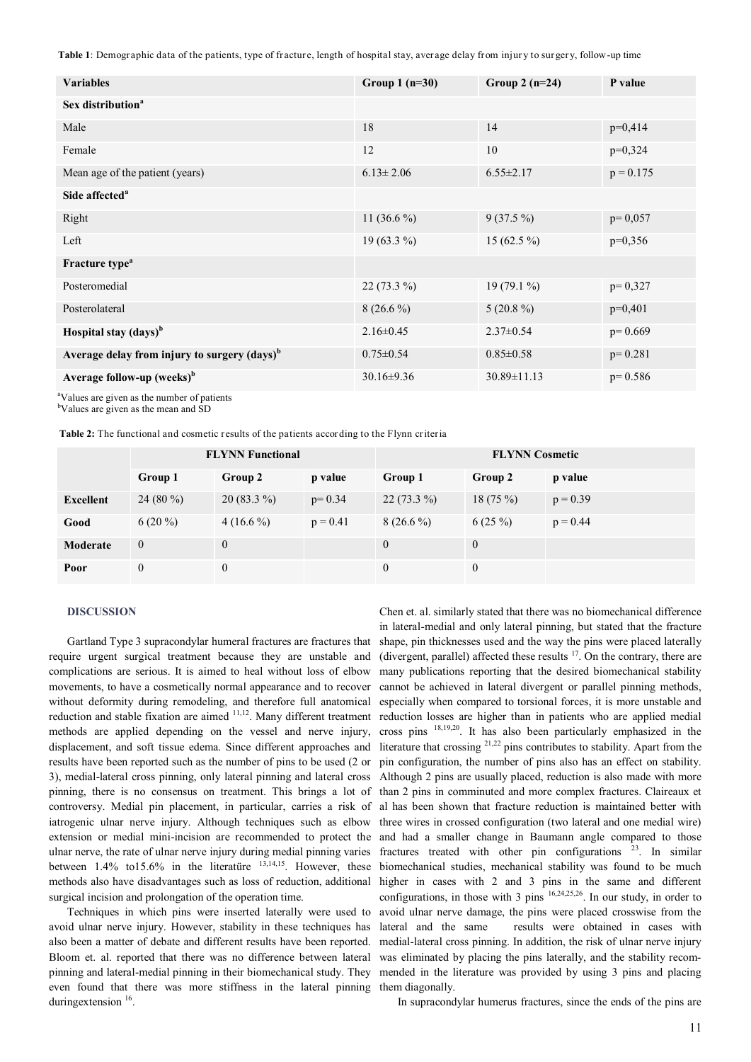**Table 1**: Demographic data of the patients, type of fracture, length of hospital stay, average delay from injur y to surgery, follow-up time

| <b>Variables</b>                                         | Group $1(n=30)$  | Group 2 $(n=24)$  | P value     |
|----------------------------------------------------------|------------------|-------------------|-------------|
| Sex distribution <sup>a</sup>                            |                  |                   |             |
| Male                                                     | 18               | 14                | $p=0,414$   |
| Female                                                   | 12               | 10                | $p=0,324$   |
| Mean age of the patient (years)                          | $6.13 \pm 2.06$  | $6.55 \pm 2.17$   | $p = 0.175$ |
| Side affected <sup>a</sup>                               |                  |                   |             |
| Right                                                    | 11 $(36.6\%)$    | $9(37.5\%)$       | $p=0,057$   |
| Left                                                     | 19 $(63.3\%)$    | 15 (62.5 $\%$ )   | $p=0,356$   |
| Fracture type <sup>a</sup>                               |                  |                   |             |
| Posteromedial                                            | $22(73.3\%)$     | 19 $(79.1\%)$     | $p=0,327$   |
| Posterolateral                                           | $8(26.6\%)$      | $5(20.8\%)$       | $p=0,401$   |
| Hospital stay (days) <sup>b</sup>                        | $2.16 \pm 0.45$  | $2.37 \pm 0.54$   | $p=0.669$   |
| Average delay from injury to surgery (days) <sup>b</sup> | $0.75 \pm 0.54$  | $0.85 \pm 0.58$   | $p=0.281$   |
| Average follow-up (weeks) <sup>b</sup>                   | $30.16 \pm 9.36$ | $30.89 \pm 11.13$ | $p=0.586$   |

<sup>a</sup>Values are given as the number of patients

<sup>b</sup>Values are given as the mean and SD

**Table 2:** The functional and cosmetic results of the patients according to the Flynn criteria

|                  | <b>FLYNN Functional</b> |                |            | <b>FLYNN</b> Cosmetic |            |            |
|------------------|-------------------------|----------------|------------|-----------------------|------------|------------|
|                  | Group 1                 | Group 2        | p value    | Group 1               | Group 2    | p value    |
| <b>Excellent</b> | 24 (80 %)               | $20(83.3\%)$   | $p=0.34$   | $22(73.3\%)$          | $18(75\%)$ | $p = 0.39$ |
| Good             | $6(20\%)$               | $4(16.6\%)$    | $p = 0.41$ | $8(26.6\%)$           | $6(25\%)$  | $p = 0.44$ |
| Moderate         | $\theta$                | $\mathbf{0}$   |            | $\theta$              | $\theta$   |            |
| Poor             | $\mathbf{0}$            | $\overline{0}$ |            | $\boldsymbol{0}$      | $\theta$   |            |

# **DISCUSSION**

Gartland Type 3 supracondylar humeral fractures are fractures that require urgent surgical treatment because they are unstable and complications are serious. It is aimed to heal without loss of elbow movements, to have a cosmetically normal appearance and to recover without deformity during remodeling, and therefore full anatomical reduction and stable fixation are aimed 11,12. Many different treatment methods are applied depending on the vessel and nerve injury, displacement, and soft tissue edema. Since different approaches and results have been reported such as the number of pins to be used (2 or 3), medial-lateral cross pinning, only lateral pinning and lateral cross pinning, there is no consensus on treatment. This brings a lot of controversy. Medial pin placement, in particular, carries a risk of iatrogenic ulnar nerve injury. Although techniques such as elbow extension or medial mini-incision are recommended to protect the ulnar nerve, the rate of ulnar nerve injury during medial pinning varies between  $1.4\%$  to  $15.6\%$  in the literature  $13,14,15$ . However, these methods also have disadvantages such as loss of reduction, additional surgical incision and prolongation of the operation time.

Techniques in which pins were inserted laterally were used to avoid ulnar nerve injury. However, stability in these techniques has also been a matter of debate and different results have been reported. Bloom et. al. reported that there was no difference between lateral pinning and lateral-medial pinning in their biomechanical study. They even found that there was more stiffness in the lateral pinning duringextension <sup>16</sup>.

Chen et. al. similarly stated that there was no biomechanical difference in lateral-medial and only lateral pinning, but stated that the fracture shape, pin thicknesses used and the way the pins were placed laterally (divergent, parallel) affected these results  $17$ . On the contrary, there are many publications reporting that the desired biomechanical stability cannot be achieved in lateral divergent or parallel pinning methods, especially when compared to torsional forces, it is more unstable and reduction losses are higher than in patients who are applied medial cross pins 18,19,20. It has also been particularly emphasized in the literature that crossing  $2^{1,22}$  pins contributes to stability. Apart from the pin configuration, the number of pins also has an effect on stability. Although 2 pins are usually placed, reduction is also made with more than 2 pins in comminuted and more complex fractures. Claireaux et al has been shown that fracture reduction is maintained better with three wires in crossed configuration (two lateral and one medial wire) and had a smaller change in Baumann angle compared to those fractures treated with other pin configurations  $23$ . In similar biomechanical studies, mechanical stability was found to be much higher in cases with 2 and 3 pins in the same and different configurations, in those with 3 pins  $16,24,25,26$ . In our study, in order to avoid ulnar nerve damage, the pins were placed crosswise from the lateral and the same results were obtained in cases with medial-lateral cross pinning. In addition, the risk of ulnar nerve injury was eliminated by placing the pins laterally, and the stability recommended in the literature was provided by using 3 pins and placing them diagonally.

In supracondylar humerus fractures, since the ends of the pins are